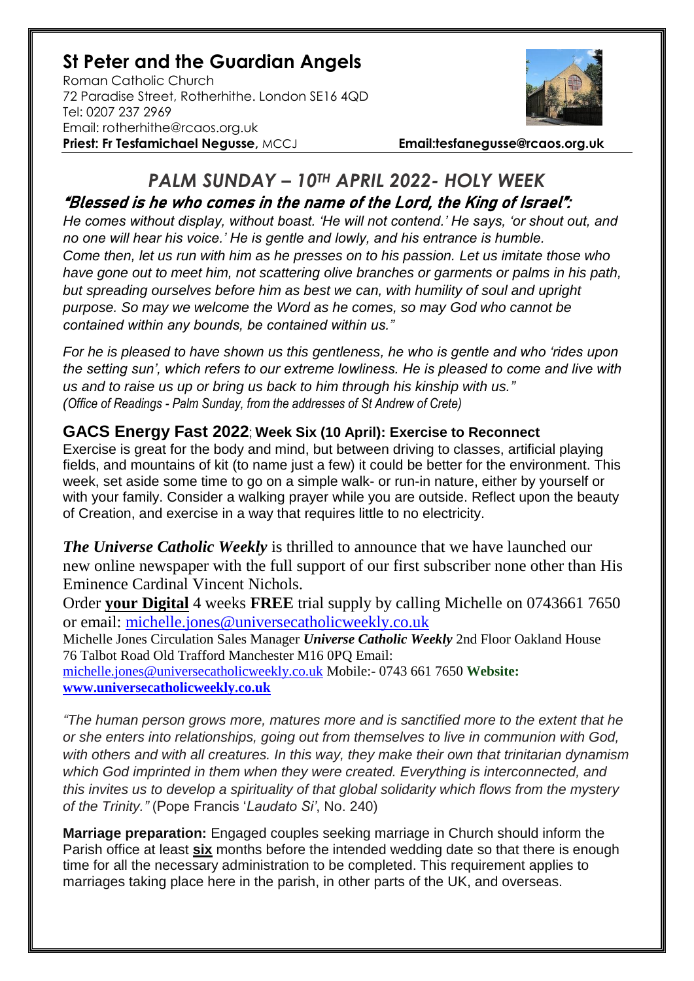## **St Peter and the Guardian Angels**

Roman Catholic Church 72 Paradise Street, Rotherhithe. London SE16 4QD [Tel: 0207](tel:0207) 237 2969 Email: rotherhithe@rcaos.org.uk **Priest: Fr Tesfamichael Negusse,** MCCJ **Email:tesfanegusse@rcaos.org.uk**



## *PALM SUNDAY – 10TH APRIL 2022- HOLY WEEK* "Blessed is he who comes in the name of the Lord, the King of Israel":

*He comes without display, without boast. 'He will not contend.' He says, 'or shout out, and no one will hear his voice.' He is gentle and lowly, and his entrance is humble. Come then, let us run with him as he presses on to his passion. Let us imitate those who have gone out to meet him, not scattering olive branches or garments or palms in his path, but spreading ourselves before him as best we can, with humility of soul and upright purpose. So may we welcome the Word as he comes, so may God who cannot be contained within any bounds, be contained within us."* 

*For he is pleased to have shown us this gentleness, he who is gentle and who 'rides upon the setting sun', which refers to our extreme lowliness. He is pleased to come and live with us and to raise us up or bring us back to him through his kinship with us." (Office of Readings - Palm Sunday, from the addresses of St Andrew of Crete)*

## **GACS Energy Fast 2022**; **Week Six (10 April): Exercise to Reconnect**

Exercise is great for the body and mind, but between driving to classes, artificial playing fields, and mountains of kit (to name just a few) it could be better for the environment. This week, set aside some time to go on a simple walk- or run-in nature, either by yourself or with your family. Consider a walking prayer while you are outside. Reflect upon the beauty of Creation, and exercise in a way that requires little to no electricity.

*The Universe Catholic Weekly* is thrilled to announce that we have launched our new online newspaper with the full support of our first subscriber none other than His Eminence Cardinal Vincent Nichols.

Order **your Digital** 4 weeks **FREE** trial supply by calling Michelle on 0743661 7650 or email: [michelle.jones@universecatholicweekly.co.uk](mailto:michelle.jones@universecatholicweekly.co.uk)

Michelle Jones Circulation Sales Manager *Universe Catholic Weekly* 2nd Floor Oakland House 76 Talbot Road Old Trafford Manchester M16 0PQ Email:

[michelle.jones@universecatholicweekly.co.uk](mailto:michelle.jones@universecatholicweekly.co.uk) Mobile:- 0743 661 7650 **Website: [www.universecatholicweekly.co.uk](http://www.universecatholicweekly.co.uk/)**

*"The human person grows more, matures more and is sanctified more to the extent that he or she enters into relationships, going out from themselves to live in communion with God, with others and with all creatures. In this way, they make their own that trinitarian dynamism which God imprinted in them when they were created. Everything is interconnected, and this invites us to develop a spirituality of that global solidarity which flows from the mystery of the Trinity."* (Pope Francis '*Laudato Si'*, No. 240)

**Marriage preparation:** Engaged couples seeking marriage in Church should inform the Parish office at least **six** months before the intended wedding date so that there is enough time for all the necessary administration to be completed. This requirement applies to marriages taking place here in the parish, in other parts of the UK, and overseas.